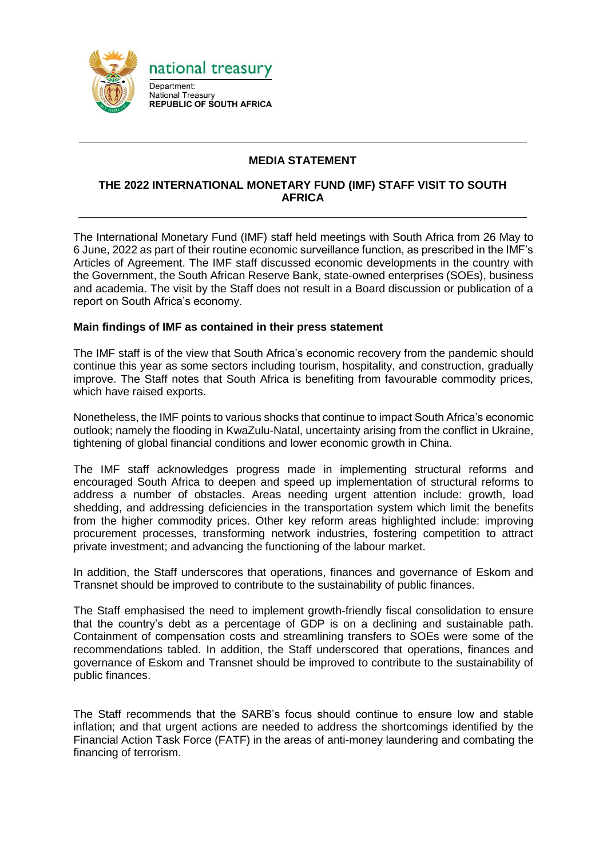

# **MEDIA STATEMENT**

### **THE 2022 INTERNATIONAL MONETARY FUND (IMF) STAFF VISIT TO SOUTH AFRICA**

The International Monetary Fund (IMF) staff held meetings with South Africa from 26 May to 6 June, 2022 as part of their routine economic surveillance function, as prescribed in the IMF's Articles of Agreement. The IMF staff discussed economic developments in the country with the Government, the South African Reserve Bank, state-owned enterprises (SOEs), business and academia. The visit by the Staff does not result in a Board discussion or publication of a report on South Africa's economy.

#### **Main findings of IMF as contained in their press statement**

The IMF staff is of the view that South Africa's economic recovery from the pandemic should continue this year as some sectors including tourism, hospitality, and construction, gradually improve. The Staff notes that South Africa is benefiting from favourable commodity prices, which have raised exports.

Nonetheless, the IMF points to various shocks that continue to impact South Africa's economic outlook; namely the flooding in KwaZulu-Natal, uncertainty arising from the conflict in Ukraine, tightening of global financial conditions and lower economic growth in China.

The IMF staff acknowledges progress made in implementing structural reforms and encouraged South Africa to deepen and speed up implementation of structural reforms to address a number of obstacles. Areas needing urgent attention include: growth, load shedding, and addressing deficiencies in the transportation system which limit the benefits from the higher commodity prices. Other key reform areas highlighted include: improving procurement processes, transforming network industries, fostering competition to attract private investment; and advancing the functioning of the labour market.

In addition, the Staff underscores that operations, finances and governance of Eskom and Transnet should be improved to contribute to the sustainability of public finances.

The Staff emphasised the need to implement growth-friendly fiscal consolidation to ensure that the country's debt as a percentage of GDP is on a declining and sustainable path. Containment of compensation costs and streamlining transfers to SOEs were some of the recommendations tabled. In addition, the Staff underscored that operations, finances and governance of Eskom and Transnet should be improved to contribute to the sustainability of public finances.

The Staff recommends that the SARB's focus should continue to ensure low and stable inflation; and that urgent actions are needed to address the shortcomings identified by the Financial Action Task Force (FATF) in the areas of anti-money laundering and combating the financing of terrorism.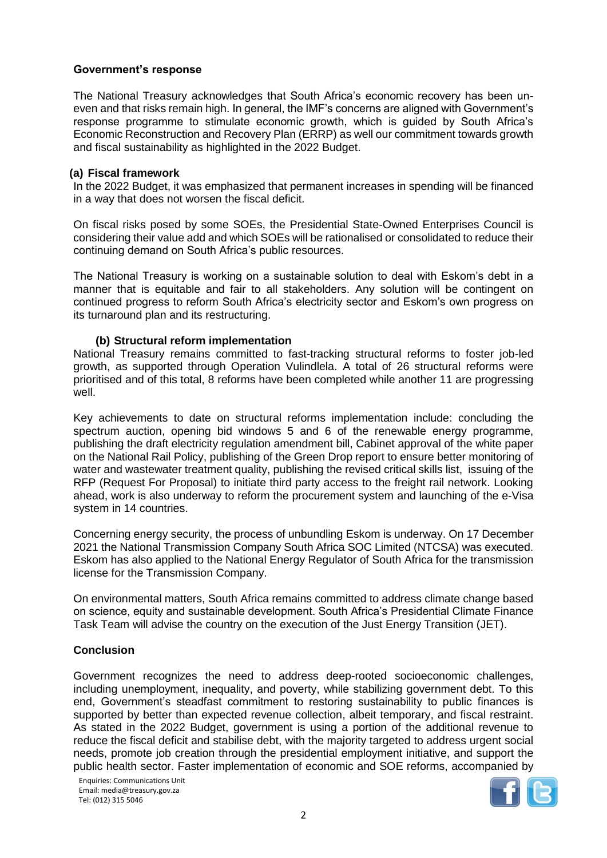# **Government's response**

The National Treasury acknowledges that South Africa's economic recovery has been uneven and that risks remain high. In general, the IMF's concerns are aligned with Government's response programme to stimulate economic growth, which is guided by South Africa's Economic Reconstruction and Recovery Plan (ERRP) as well our commitment towards growth and fiscal sustainability as highlighted in the 2022 Budget.

### **(a) Fiscal framework**

In the 2022 Budget, it was emphasized that permanent increases in spending will be financed in a way that does not worsen the fiscal deficit.

On fiscal risks posed by some SOEs, the Presidential State-Owned Enterprises Council is considering their value add and which SOEs will be rationalised or consolidated to reduce their continuing demand on South Africa's public resources.

The National Treasury is working on a sustainable solution to deal with Eskom's debt in a manner that is equitable and fair to all stakeholders. Any solution will be contingent on continued progress to reform South Africa's electricity sector and Eskom's own progress on its turnaround plan and its restructuring.

### **(b) Structural reform implementation**

National Treasury remains committed to fast-tracking structural reforms to foster job-led growth, as supported through Operation Vulindlela. A total of 26 structural reforms were prioritised and of this total, 8 reforms have been completed while another 11 are progressing well.

Key achievements to date on structural reforms implementation include: concluding the spectrum auction, opening bid windows 5 and 6 of the renewable energy programme, publishing the draft electricity regulation amendment bill, Cabinet approval of the white paper on the National Rail Policy, publishing of the Green Drop report to ensure better monitoring of water and wastewater treatment quality, publishing the revised critical skills list, issuing of the RFP (Request For Proposal) to initiate third party access to the freight rail network. Looking ahead, work is also underway to reform the procurement system and launching of the e-Visa system in 14 countries.

Concerning energy security, the process of unbundling Eskom is underway. On 17 December 2021 the National Transmission Company South Africa SOC Limited (NTCSA) was executed. Eskom has also applied to the National Energy Regulator of South Africa for the transmission license for the Transmission Company.

On environmental matters, South Africa remains committed to address climate change based on science, equity and sustainable development. South Africa's Presidential Climate Finance Task Team will advise the country on the execution of the Just Energy Transition (JET).

### **Conclusion**

Government recognizes the need to address deep-rooted socioeconomic challenges, including unemployment, inequality, and poverty, while stabilizing government debt. To this end, Government's steadfast commitment to restoring sustainability to public finances is supported by better than expected revenue collection, albeit temporary, and fiscal restraint. As stated in the 2022 Budget, government is using a portion of the additional revenue to reduce the fiscal deficit and stabilise debt, with the majority targeted to address urgent social needs, promote job creation through the presidential employment initiative, and support the public health sector. Faster implementation of economic and SOE reforms, accompanied by